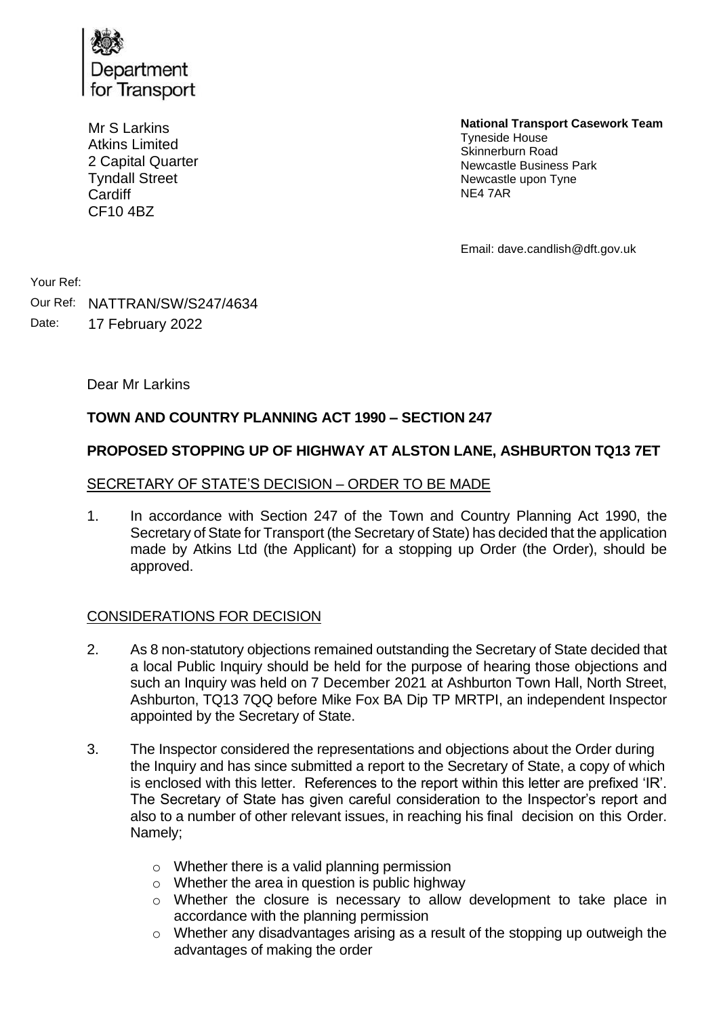

Mr S Larkins Atkins Limited 2 Capital Quarter Tyndall Street **Cardiff** CF10 4BZ

**National Transport Casework Team**

Tyneside House Skinnerburn Road Newcastle Business Park Newcastle upon Tyne NE4 7AR

Email: dave.candlish@dft.gov.uk

Your Ref:

Our Ref: NATTRAN/SW/S247/4634 Date: 17 February 2022

Dear Mr Larkins

# **TOWN AND COUNTRY PLANNING ACT 1990 – SECTION 247**

## **PROPOSED STOPPING UP OF HIGHWAY AT ALSTON LANE, ASHBURTON TQ13 7ET**

#### SECRETARY OF STATE'S DECISION – ORDER TO BE MADE

1. In accordance with Section 247 of the Town and Country Planning Act 1990, the Secretary of State for Transport (the Secretary of State) has decided that the application made by Atkins Ltd (the Applicant) for a stopping up Order (the Order), should be approved.

## CONSIDERATIONS FOR DECISION

- 2. As 8 non-statutory objections remained outstanding the Secretary of State decided that a local Public Inquiry should be held for the purpose of hearing those objections and such an Inquiry was held on 7 December 2021 at Ashburton Town Hall, North Street, Ashburton, TQ13 7QQ before Mike Fox BA Dip TP MRTPI, an independent Inspector appointed by the Secretary of State.
- 3. The Inspector considered the representations and objections about the Order during the Inquiry and has since submitted a report to the Secretary of State, a copy of which is enclosed with this letter. References to the report within this letter are prefixed 'IR'. The Secretary of State has given careful consideration to the Inspector's report and also to a number of other relevant issues, in reaching his final decision on this Order. Namely;
	- o Whether there is a valid planning permission
	- o Whether the area in question is public highway
	- o Whether the closure is necessary to allow development to take place in accordance with the planning permission
	- o Whether any disadvantages arising as a result of the stopping up outweigh the advantages of making the order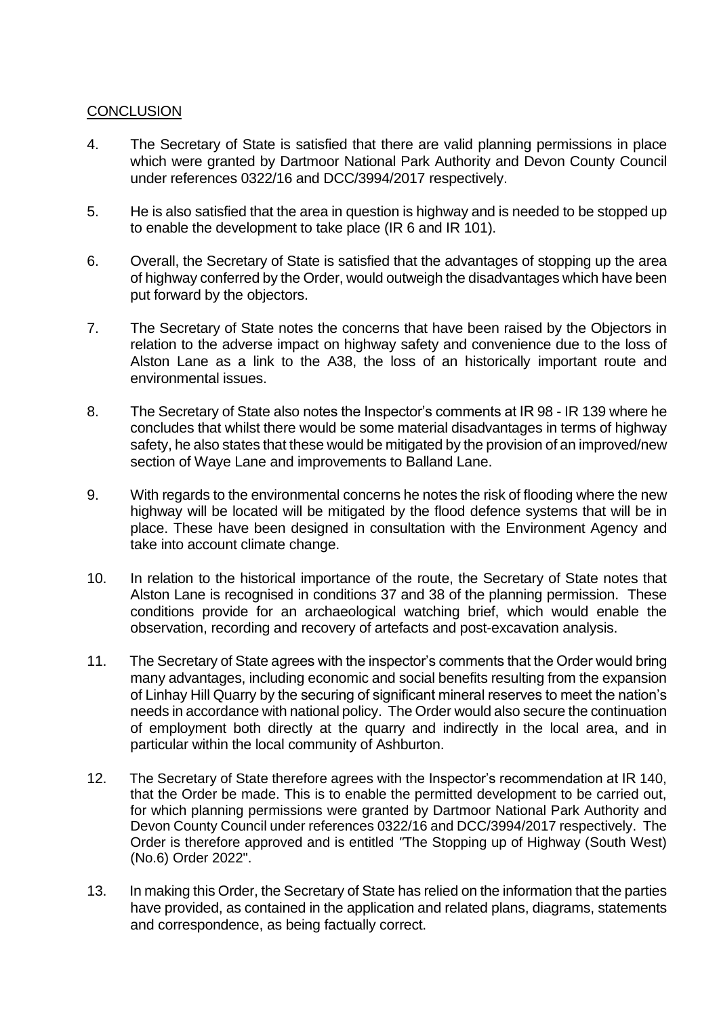### **CONCLUSION**

- 4. The Secretary of State is satisfied that there are valid planning permissions in place which were granted by Dartmoor National Park Authority and Devon County Council under references 0322/16 and DCC/3994/2017 respectively.
- 5. He is also satisfied that the area in question is highway and is needed to be stopped up to enable the development to take place (IR 6 and IR 101).
- 6. Overall, the Secretary of State is satisfied that the advantages of stopping up the area of highway conferred by the Order, would outweigh the disadvantages which have been put forward by the objectors.
- 7. The Secretary of State notes the concerns that have been raised by the Objectors in relation to the adverse impact on highway safety and convenience due to the loss of Alston Lane as a link to the A38, the loss of an historically important route and environmental issues.
- 8. The Secretary of State also notes the Inspector's comments at IR 98 IR 139 where he concludes that whilst there would be some material disadvantages in terms of highway safety, he also states that these would be mitigated by the provision of an improved/new section of Waye Lane and improvements to Balland Lane.
- 9. With regards to the environmental concerns he notes the risk of flooding where the new highway will be located will be mitigated by the flood defence systems that will be in place. These have been designed in consultation with the Environment Agency and take into account climate change.
- 10. In relation to the historical importance of the route, the Secretary of State notes that Alston Lane is recognised in conditions 37 and 38 of the planning permission. These conditions provide for an archaeological watching brief, which would enable the observation, recording and recovery of artefacts and post-excavation analysis.
- 11. The Secretary of State agrees with the inspector's comments that the Order would bring many advantages, including economic and social benefits resulting from the expansion of Linhay Hill Quarry by the securing of significant mineral reserves to meet the nation's needs in accordance with national policy. The Order would also secure the continuation of employment both directly at the quarry and indirectly in the local area, and in particular within the local community of Ashburton.
- 12. The Secretary of State therefore agrees with the Inspector's recommendation at IR 140, that the Order be made. This is to enable the permitted development to be carried out, for which planning permissions were granted by Dartmoor National Park Authority and Devon County Council under references 0322/16 and DCC/3994/2017 respectively. The Order is therefore approved and is entitled *"*The Stopping up of Highway (South West) (No.6) Order 2022".
- 13. In making this Order, the Secretary of State has relied on the information that the parties have provided, as contained in the application and related plans, diagrams, statements and correspondence, as being factually correct.